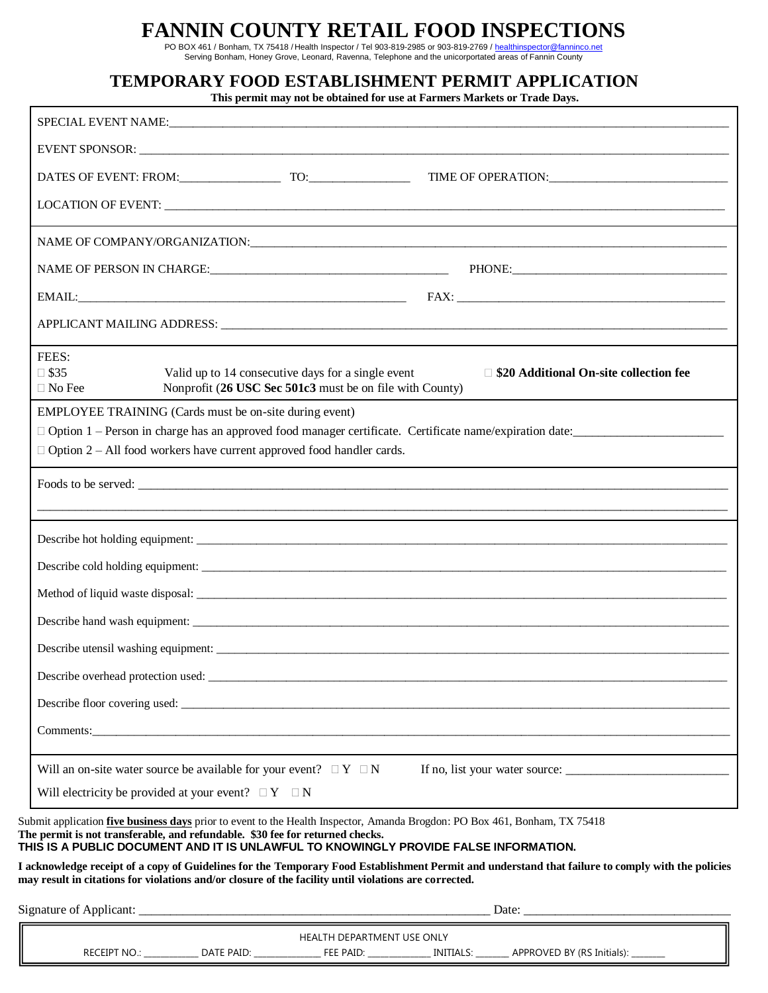## **FANNIN COUNTY RETAIL FOOD INSPECTIONS**

PO BOX 461 / Bonham, TX 75418 / Health Inspector / Tel 903-819-2985 or 903-819-2769 / <u>healthinspector@fanninco.net</u><br>Serving Bonham, Honey Grove, Leonard, Ravenna, Telephone and the unicorportated areas of Fannin County

## **TEMPORARY FOOD ESTABLISHMENT PERMIT APPLICATION**

**This permit may not be obtained for use at Farmers Markets or Trade Days.**

| FEES:<br>$\square$ \$35<br>Valid up to 14 consecutive days for a single event<br>Nonprofit (26 USC Sec 501c3 must be on file with County)<br>$\Box$ No Fee                                                                                                                                                 | $\Box$ \$20 Additional On-site collection fee |
|------------------------------------------------------------------------------------------------------------------------------------------------------------------------------------------------------------------------------------------------------------------------------------------------------------|-----------------------------------------------|
| EMPLOYEE TRAINING (Cards must be on-site during event)                                                                                                                                                                                                                                                     |                                               |
| $\Box$ Option 2 – All food workers have current approved food handler cards.                                                                                                                                                                                                                               |                                               |
|                                                                                                                                                                                                                                                                                                            |                                               |
|                                                                                                                                                                                                                                                                                                            |                                               |
|                                                                                                                                                                                                                                                                                                            |                                               |
|                                                                                                                                                                                                                                                                                                            |                                               |
|                                                                                                                                                                                                                                                                                                            |                                               |
|                                                                                                                                                                                                                                                                                                            |                                               |
|                                                                                                                                                                                                                                                                                                            |                                               |
|                                                                                                                                                                                                                                                                                                            |                                               |
|                                                                                                                                                                                                                                                                                                            |                                               |
|                                                                                                                                                                                                                                                                                                            |                                               |
|                                                                                                                                                                                                                                                                                                            |                                               |
| Will an on-site water source be available for your event? $\Box Y \Box N$                                                                                                                                                                                                                                  |                                               |
| Will electricity be provided at your event? $\Box Y \Box N$                                                                                                                                                                                                                                                |                                               |
| Submit application <i>five business days</i> prior to event to the Health Inspector, Amanda Brogdon: PO Box 461, Bonham, TX 75418<br>The permit is not transferable, and refundable. \$30 fee for returned checks.<br>THIS IS A PUBLIC DOCUMENT AND IT IS UNLAWFUL TO KNOWINGLY PROVIDE FALSE INFORMATION. |                                               |
| I acknowledge receipt of a copy of Guidelines for the Temporary Food Establishment Permit and understand that failure to comply with the policies<br>may result in citations for violations and/or closure of the facility until violations are corrected.                                                 |                                               |
|                                                                                                                                                                                                                                                                                                            |                                               |
|                                                                                                                                                                                                                                                                                                            | HEALTH DEPARTMENT USE ONLY                    |

RECEIPT NO.: \_\_\_\_\_\_\_\_\_\_\_\_\_ DATE PAID: \_\_\_\_\_\_\_\_\_\_\_\_\_\_\_\_\_\_ FEE PAID: \_\_\_\_\_\_\_\_\_\_\_\_\_\_\_\_\_ INITIALS: \_\_\_\_\_\_\_\_ APPROVED BY (RS Initials):